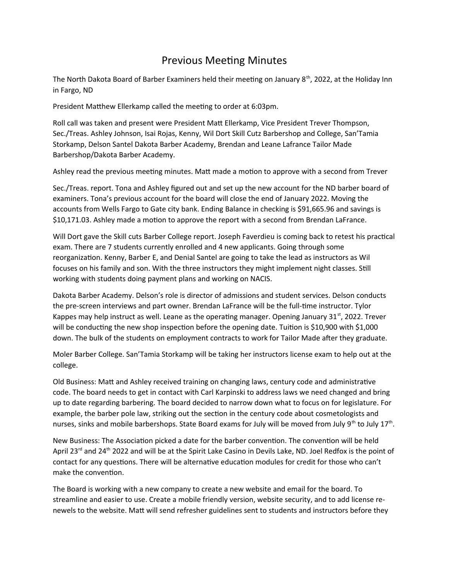## Previous Meeting Minutes

The North Dakota Board of Barber Examiners held their meeting on January  $8<sup>th</sup>$ , 2022, at the Holiday Inn in Fargo, ND

President Matthew Ellerkamp called the meeting to order at 6:03pm.

Roll call was taken and present were President Matt Ellerkamp, Vice President Trever Thompson, Sec./Treas. Ashley Johnson, Isai Rojas, Kenny, Wil Dort Skill Cutz Barbershop and College, San'Tamia Storkamp, Delson Santel Dakota Barber Academy, Brendan and Leane Lafrance Tailor Made Barbershop/Dakota Barber Academy.

Ashley read the previous meeting minutes. Matt made a motion to approve with a second from Trever

Sec./Treas. report. Tona and Ashley figured out and set up the new account for the ND barber board of examiners. Tona's previous account for the board will close the end of January 2022. Moving the accounts from Wells Fargo to Gate city bank. Ending Balance in checking is \$91,665.96 and savings is \$10,171.03. Ashley made a motion to approve the report with a second from Brendan LaFrance.

Will Dort gave the Skill cuts Barber College report. Joseph Faverdieu is coming back to retest his practical exam. There are 7 students currently enrolled and 4 new applicants. Going through some reorganization. Kenny, Barber E, and Denial Santel are going to take the lead as instructors as Wil focuses on his family and son. With the three instructors they might implement night classes. Still working with students doing payment plans and working on NACIS.

Dakota Barber Academy. Delson's role is director of admissions and student services. Delson conducts the pre-screen interviews and part owner. Brendan LaFrance will be the full-time instructor. Tylor Kappes may help instruct as well. Leane as the operating manager. Opening January 31 $\mathrm{^{st}}$ , 2022. Trever will be conducting the new shop inspection before the opening date. Tuition is \$10,900 with \$1,000 down. The bulk of the students on employment contracts to work for Tailor Made after they graduate.

Moler Barber College. San'Tamia Storkamp will be taking her instructors license exam to help out at the college.

Old Business: Matt and Ashley received training on changing laws, century code and administrative code. The board needs to get in contact with Carl Karpinski to address laws we need changed and bring up to date regarding barbering. The board decided to narrow down what to focus on for legislature. For example, the barber pole law, striking out the section in the century code about cosmetologists and nurses, sinks and mobile barbershops. State Board exams for July will be moved from July 9<sup>th</sup> to July 17<sup>th</sup>.

New Business: The Association picked a date for the barber convention. The convention will be held April 23<sup>rd</sup> and 24<sup>th</sup> 2022 and will be at the Spirit Lake Casino in Devils Lake, ND. Joel Redfox is the point of contact for any questions. There will be alternative education modules for credit for those who can't make the convention.

The Board is working with a new company to create a new website and email for the board. To streamline and easier to use. Create a mobile friendly version, website security, and to add license renewels to the website. Matt will send refresher guidelines sent to students and instructors before they